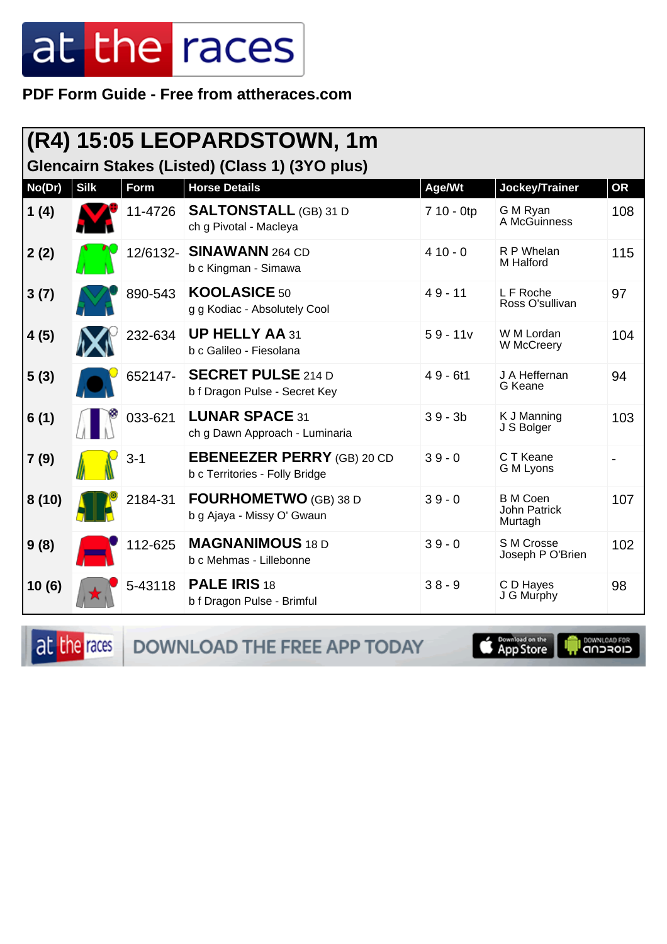PDF Form Guide - Free from attheraces.com

|                                                |             |          | (R4) 15:05 LEOPARDSTOWN, 1m                                         |            |                                            |           |  |  |  |
|------------------------------------------------|-------------|----------|---------------------------------------------------------------------|------------|--------------------------------------------|-----------|--|--|--|
| Glencairn Stakes (Listed) (Class 1) (3YO plus) |             |          |                                                                     |            |                                            |           |  |  |  |
| No(Dr)                                         | <b>Silk</b> | Form     | <b>Horse Details</b>                                                | Age/Wt     | Jockey/Trainer                             | <b>OR</b> |  |  |  |
| 1(4)                                           |             | 11-4726  | <b>SALTONSTALL (GB) 31 D</b><br>ch g Pivotal - Macleya              | 7 10 - 0tp | G M Ryan<br>A McGuinness                   | 108       |  |  |  |
| 2(2)                                           |             | 12/6132- | <b>SINAWANN 264 CD</b><br>b c Kingman - Simawa                      | $410 - 0$  | R P Whelan<br>M Halford                    | 115       |  |  |  |
| 3(7)                                           |             | 890-543  | <b>KOOLASICE 50</b><br>g g Kodiac - Absolutely Cool                 | $49 - 11$  | L F Roche<br>Ross O'sullivan               | 97        |  |  |  |
| 4(5)                                           |             | 232-634  | <b>UP HELLY AA 31</b><br>b c Galileo - Fiesolana                    | $59 - 11v$ | W M Lordan<br>W McCreery                   | 104       |  |  |  |
| 5(3)                                           |             | 652147-  | <b>SECRET PULSE 214 D</b><br>b f Dragon Pulse - Secret Key          | $49 - 6t1$ | J A Heffernan<br>G Keane                   | 94        |  |  |  |
| 6(1)                                           |             | 033-621  | <b>LUNAR SPACE 31</b><br>ch g Dawn Approach - Luminaria             | $39 - 3b$  | K J Manning<br>J S Bolger                  | 103       |  |  |  |
| 7(9)                                           |             | $3 - 1$  | <b>EBENEEZER PERRY (GB) 20 CD</b><br>b c Territories - Folly Bridge | $39 - 0$   | C T Keane<br>G M Lyons                     |           |  |  |  |
| 8(10)                                          |             | 2184-31  | <b>FOURHOMETWO</b> (GB) 38 D<br>b g Ajaya - Missy O' Gwaun          | $39 - 0$   | <b>B</b> M Coen<br>John Patrick<br>Murtagh | 107       |  |  |  |
| 9(8)                                           |             | 112-625  | <b>MAGNANIMOUS 18 D</b><br>b c Mehmas - Lillebonne                  | $39 - 0$   | S M Crosse<br>Joseph P O'Brien             | 102       |  |  |  |
| 10(6)                                          |             | 5-43118  | PALE IRIS 18<br>b f Dragon Pulse - Brimful                          | $38 - 9$   | C D Hayes<br>J G Murphy                    | 98        |  |  |  |

at the races DOWNLOAD THE FREE APP TODAY

**E** Download on the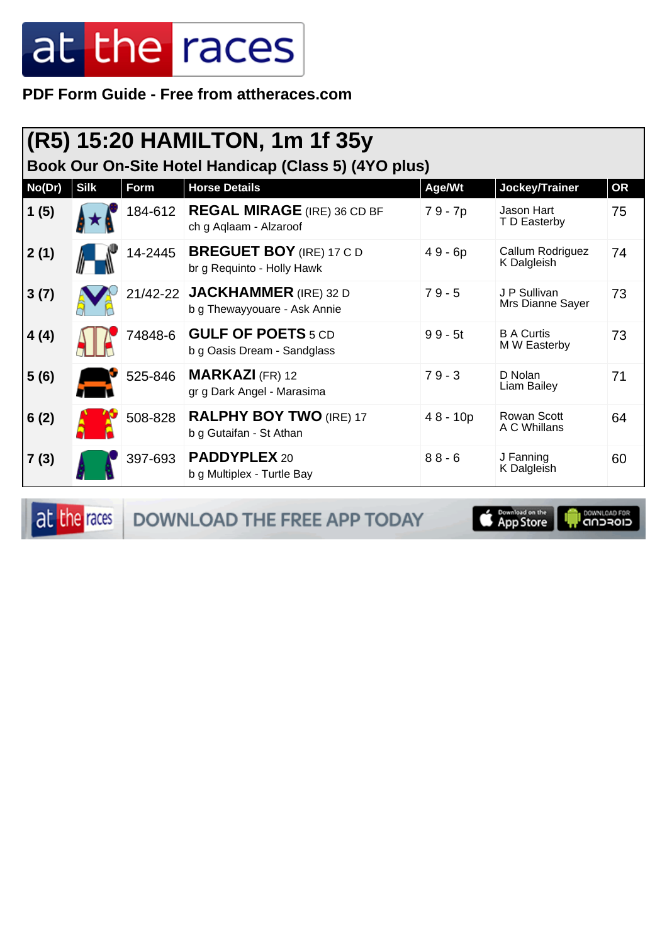PDF Form Guide - Free from attheraces.com

|                                                      | (R5) 15:20 HAMILTON, 1m 1f 35y |         |                                                                |            |                                   |           |  |  |  |  |
|------------------------------------------------------|--------------------------------|---------|----------------------------------------------------------------|------------|-----------------------------------|-----------|--|--|--|--|
| Book Our On-Site Hotel Handicap (Class 5) (4YO plus) |                                |         |                                                                |            |                                   |           |  |  |  |  |
| No(Dr)                                               | <b>Silk</b>                    | Form    | <b>Horse Details</b>                                           | Age/Wt     | Jockey/Trainer                    | <b>OR</b> |  |  |  |  |
| 1(5)                                                 |                                | 184-612 | <b>REGAL MIRAGE</b> (IRE) 36 CD BF<br>ch g Aqlaam - Alzaroof   | 79 - 7p    | Jason Hart<br>T D Easterby        | 75        |  |  |  |  |
| 2(1)                                                 |                                | 14-2445 | <b>BREGUET BOY</b> (IRE) 17 C D<br>br g Requinto - Holly Hawk  | $49 - 6p$  | Callum Rodriguez<br>K Dalgleish   | 74        |  |  |  |  |
| 3(7)                                                 |                                |         | 21/42-22 JACKHAMMER (IRE) 32 D<br>b g Thewayyouare - Ask Annie | $79 - 5$   | J P Sullivan<br>Mrs Dianne Sayer  | 73        |  |  |  |  |
| 4(4)                                                 |                                | 74848-6 | <b>GULF OF POETS 5 CD</b><br>b g Oasis Dream - Sandglass       | $99 - 5t$  | <b>B A Curtis</b><br>M W Easterby | 73        |  |  |  |  |
| 5(6)                                                 |                                | 525-846 | <b>MARKAZI</b> (FR) 12<br>gr g Dark Angel - Marasima           | $79 - 3$   | D Nolan<br>Liam Bailey            | 71        |  |  |  |  |
| 6(2)                                                 |                                | 508-828 | <b>RALPHY BOY TWO (IRE) 17</b><br>b g Gutaifan - St Athan      | $48 - 10p$ | Rowan Scott<br>A C Whillans       | 64        |  |  |  |  |
| 7(3)                                                 |                                | 397-693 | PADDYPLEX 20<br>b g Multiplex - Turtle Bay                     | $88 - 6$   | J Fanning<br>K Dalgleish          | 60        |  |  |  |  |

at the races

DOWNLOAD THE FREE APP TODAY

**App Store**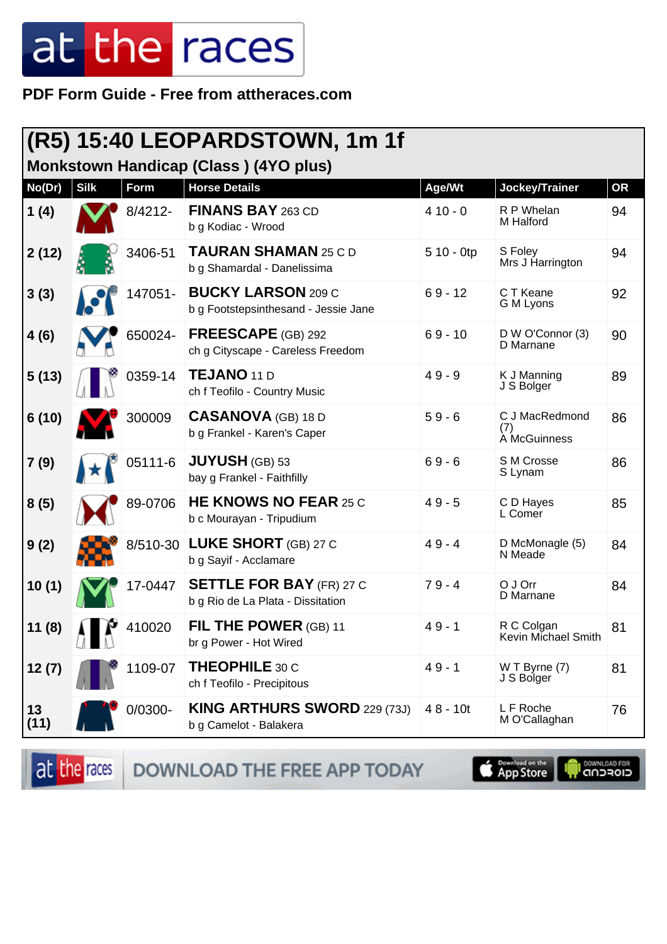**PDF Form Guide - Free from attheraces.com**

| $ {\sf (R5)}$ 15:40 LEOPARDSTOWN, 1m 1f<br><b>Monkstown Handicap (Class) (4YO plus)</b> |             |          |                                                                      |              |                                       |    |  |  |
|-----------------------------------------------------------------------------------------|-------------|----------|----------------------------------------------------------------------|--------------|---------------------------------------|----|--|--|
| No(Dr)                                                                                  | <b>Silk</b> | Form     | <b>Horse Details</b>                                                 | Age/Wt       | Jockey/Trainer                        | OR |  |  |
| 1(4)                                                                                    |             | 8/4212-  | FINANS BAY 263 CD<br>b g Kodiac - Wrood                              | $410 - 0$    | R P Whelan<br>M Halford               | 94 |  |  |
| 2(12)                                                                                   |             | 3406-51  | <b>TAURAN SHAMAN 25 C D</b><br>b g Shamardal - Danelissima           | $510 - 0$ tp | S Foley<br>Mrs J Harrington           | 94 |  |  |
| 3(3)                                                                                    |             | 147051-  | <b>BUCKY LARSON 209 C</b><br>b g Footstepsinthesand - Jessie Jane    | $69 - 12$    | C T Keane<br>G M Lyons                | 92 |  |  |
| 4(6)                                                                                    |             | 650024-  | <b>FREESCAPE</b> (GB) 292<br>ch g Cityscape - Careless Freedom       | $69 - 10$    | D W O'Connor (3)<br>D Marnane         | 90 |  |  |
| 5(13)                                                                                   |             | 0359-14  | TEJANO 11 D<br>ch f Teofilo - Country Music                          | $49 - 9$     | K J Manning<br>J S Bolger             | 89 |  |  |
| 6(10)                                                                                   |             | 300009   | <b>CASANOVA</b> (GB) 18 D<br>b g Frankel - Karen's Caper             | $59 - 6$     | C J MacRedmond<br>(7)<br>A McGuinness | 86 |  |  |
| 7(9)                                                                                    |             | 05111-6  | <b>JUYUSH</b> (GB) 53<br>bay g Frankel - Faithfilly                  | $69 - 6$     | S M Crosse<br>S Lynam                 | 86 |  |  |
| 8(5)                                                                                    |             | 89-0706  | <b>HE KNOWS NO FEAR 25 C</b><br>b c Mourayan - Tripudium             | $49 - 5$     | C D Hayes<br>L Comer                  | 85 |  |  |
| 9(2)                                                                                    |             | 8/510-30 | <b>LUKE SHORT</b> (GB) 27 C<br>b g Sayif - Acclamare                 | $49 - 4$     | D McMonagle (5)<br>N Meade            | 84 |  |  |
| 10(1)                                                                                   |             | 17-0447  | <b>SETTLE FOR BAY (FR) 27 C</b><br>b g Rio de La Plata - Dissitation | $79 - 4$     | O J Orr<br>D Marnane                  | 84 |  |  |
| 11(8)                                                                                   |             | 410020   | FIL THE POWER (GB) 11<br>br g Power - Hot Wired                      | $49 - 1$     | R C Colgan<br>Kevin Michael Smith     | 81 |  |  |
| 12(7)                                                                                   |             | 1109-07  | <b>THEOPHILE 30 C</b><br>ch f Teofilo - Precipitous                  | $49 - 1$     | $W T B$ yrne $(7)$<br>J S Bolger      | 81 |  |  |
| 13<br>(11)                                                                              |             | 0/0300-  | <b>KING ARTHURS SWORD 229 (73J)</b><br>b g Camelot - Balakera        | $48 - 10t$   | L F Roche<br>M O'Callaghan            | 76 |  |  |

DOWNLOAD THE FREE APP TODAY at the races

App Store **DOWNLOAD FOR**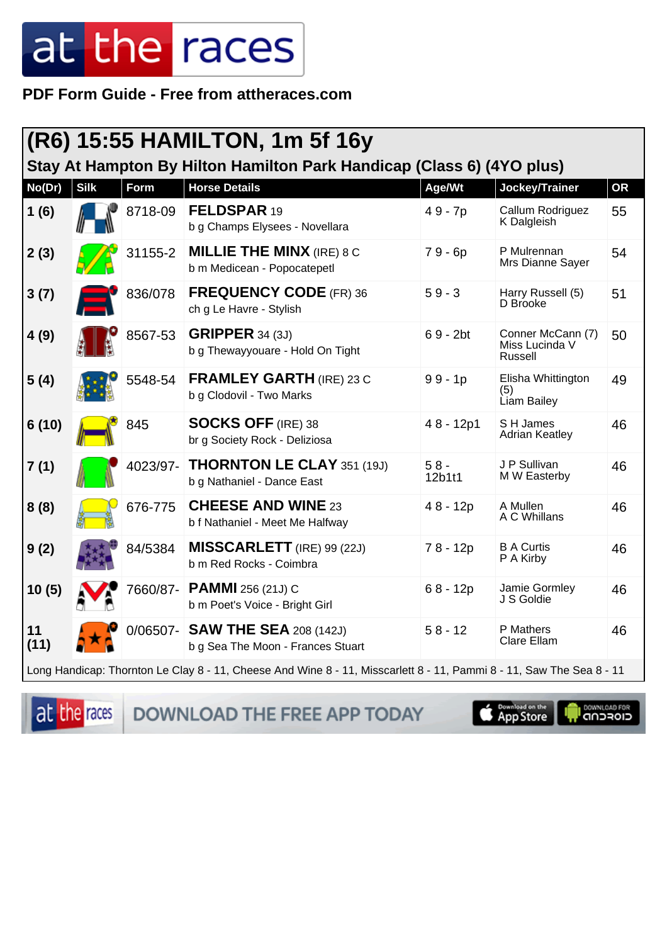**PDF Form Guide - Free from attheraces.com**

|                                                                       | (R6) 15:55 HAMILTON, 1m 5f 16y |             |                                                                      |                  |                                                                                                                      |           |  |  |  |  |
|-----------------------------------------------------------------------|--------------------------------|-------------|----------------------------------------------------------------------|------------------|----------------------------------------------------------------------------------------------------------------------|-----------|--|--|--|--|
| Stay At Hampton By Hilton Hamilton Park Handicap (Class 6) (4YO plus) |                                |             |                                                                      |                  |                                                                                                                      |           |  |  |  |  |
| No(Dr)                                                                | <b>Silk</b>                    | <b>Form</b> | <b>Horse Details</b>                                                 | Age/Wt           | Jockey/Trainer                                                                                                       | <b>OR</b> |  |  |  |  |
| 1(6)                                                                  |                                | 8718-09     | FELDSPAR 19<br>b g Champs Elysees - Novellara                        | $49 - 7p$        | Callum Rodriguez<br>K Dalgleish                                                                                      | 55        |  |  |  |  |
| 2(3)                                                                  |                                | 31155-2     | <b>MILLIE THE MINX</b> (IRE) 8 C<br>b m Medicean - Popocatepetl      | $79 - 6p$        | P Mulrennan<br>Mrs Dianne Sayer                                                                                      | 54        |  |  |  |  |
| 3(7)                                                                  |                                | 836/078     | <b>FREQUENCY CODE (FR) 36</b><br>ch g Le Havre - Stylish             | $59 - 3$         | Harry Russell (5)<br>D Brooke                                                                                        | 51        |  |  |  |  |
| 4(9)                                                                  |                                | 8567-53     | <b>GRIPPER</b> 34 (3J)<br>b g Thewayyouare - Hold On Tight           | $69 - 2bt$       | Conner McCann (7)<br>Miss Lucinda V<br>Russell                                                                       | 50        |  |  |  |  |
| 5(4)                                                                  |                                | 5548-54     | <b>FRAMLEY GARTH (IRE) 23 C</b><br>b g Clodovil - Two Marks          | $99 - 1p$        | Elisha Whittington<br>(5)<br>Liam Bailey                                                                             | 49        |  |  |  |  |
| 6(10)                                                                 |                                | 845         | <b>SOCKS OFF (IRE) 38</b><br>br g Society Rock - Deliziosa           | $48 - 12p1$      | S H James<br><b>Adrian Keatley</b>                                                                                   | 46        |  |  |  |  |
| 7(1)                                                                  |                                | 4023/97-    | <b>THORNTON LE CLAY 351 (19J)</b><br>b g Nathaniel - Dance East      | $58 -$<br>12b1t1 | J P Sullivan<br>M W Easterby                                                                                         | 46        |  |  |  |  |
| 8(8)                                                                  |                                | 676-775     | <b>CHEESE AND WINE 23</b><br>b f Nathaniel - Meet Me Halfway         | 48 - 12p         | A Mullen<br>A C Whillans                                                                                             | 46        |  |  |  |  |
| 9(2)                                                                  |                                | 84/5384     | <b>MISSCARLETT</b> (IRE) 99 (22J)<br>b m Red Rocks - Coimbra         | 78 - 12p         | <b>B A Curtis</b><br>P A Kirby                                                                                       | 46        |  |  |  |  |
| 10(5)                                                                 |                                | 7660/87-    | <b>PAMMI</b> 256 (21J) C<br>b m Poet's Voice - Bright Girl           | $68 - 12p$       | Jamie Gormley<br>J S Goldie                                                                                          | 46        |  |  |  |  |
| 11<br>(11)                                                            |                                |             | 0/06507- SAW THE SEA 208 (142J)<br>b g Sea The Moon - Frances Stuart | $58 - 12$        | P Mathers<br>Clare Ellam                                                                                             | 46        |  |  |  |  |
|                                                                       |                                |             |                                                                      |                  | Long Handicap: Thornton Le Clay 8 - 11, Cheese And Wine 8 - 11, Misscarlett 8 - 11, Pammi 8 - 11, Saw The Sea 8 - 11 |           |  |  |  |  |

at the races **DOWNLOAD THE FREE APP TODAY** 

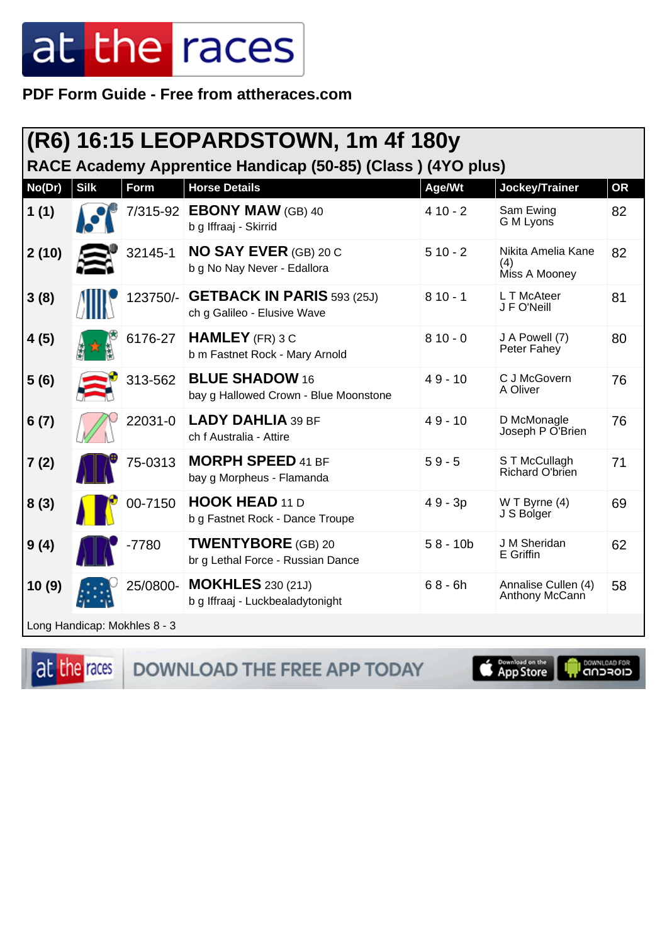PDF Form Guide - Free from attheraces.com

|                                                             |             |                              | (R6) 16:15 LEOPARDSTOWN, 1m 4f 180y                              |            |                                            |           |  |  |
|-------------------------------------------------------------|-------------|------------------------------|------------------------------------------------------------------|------------|--------------------------------------------|-----------|--|--|
| RACE Academy Apprentice Handicap (50-85) (Class) (4YO plus) |             |                              |                                                                  |            |                                            |           |  |  |
| No(Dr)                                                      | <b>Silk</b> | <b>Form</b>                  | <b>Horse Details</b>                                             | Age/Wt     | Jockey/Trainer                             | <b>OR</b> |  |  |
| 1(1)                                                        |             |                              | 7/315-92 EBONY MAW (GB) 40<br>b g Iffraaj - Skirrid              | $410 - 2$  | Sam Ewing<br>G M Lyons                     | 82        |  |  |
| 2(10)                                                       |             | 32145-1                      | <b>NO SAY EVER (GB) 20 C</b><br>b g No Nay Never - Edallora      | $510 - 2$  | Nikita Amelia Kane<br>(4)<br>Miss A Mooney | 82        |  |  |
| 3(8)                                                        |             | 123750/-                     | <b>GETBACK IN PARIS 593 (25J)</b><br>ch g Galileo - Elusive Wave | $810 - 1$  | L T McAteer<br>J F O'Neill                 | 81        |  |  |
| 4(5)                                                        |             | 6176-27                      | <b>HAMLEY</b> (FR) 3 C<br>b m Fastnet Rock - Mary Arnold         | $810 - 0$  | J A Powell (7)<br>Peter Fahey              | 80        |  |  |
| 5(6)                                                        |             | 313-562                      | <b>BLUE SHADOW 16</b><br>bay g Hallowed Crown - Blue Moonstone   | $49 - 10$  | C J McGovern<br>A Oliver                   | 76        |  |  |
| 6(7)                                                        |             | 22031-0                      | <b>LADY DAHLIA 39 BF</b><br>ch f Australia - Attire              | $49 - 10$  | D McMonagle<br>Joseph P O'Brien            | 76        |  |  |
| 7(2)                                                        |             | 75-0313                      | <b>MORPH SPEED 41 BF</b><br>bay g Morpheus - Flamanda            | $59 - 5$   | S T McCullagh<br>Richard O'brien           | 71        |  |  |
| 8(3)                                                        |             | 00-7150                      | <b>HOOK HEAD 11 D</b><br>b g Fastnet Rock - Dance Troupe         | $49 - 3p$  | W T Byrne $(4)$<br>J S Bolger              | 69        |  |  |
| 9(4)                                                        |             | -7780                        | <b>TWENTYBORE</b> (GB) 20<br>br g Lethal Force - Russian Dance   | $58 - 10b$ | J M Sheridan<br><b>E</b> Griffin           | 62        |  |  |
| 10(9)                                                       |             | 25/0800-                     | <b>MOKHLES</b> 230 (21J)<br>b g Iffraaj - Luckbealadytonight     | $68 - 6h$  | Annalise Cullen (4)<br>Anthony McCann      | 58        |  |  |
|                                                             |             | Long Handicap: Mokhles 8 - 3 |                                                                  |            |                                            |           |  |  |

at the races

DOWNLOAD THE FREE APP TODAY

App Store Г

**OOWNLOAD FOR**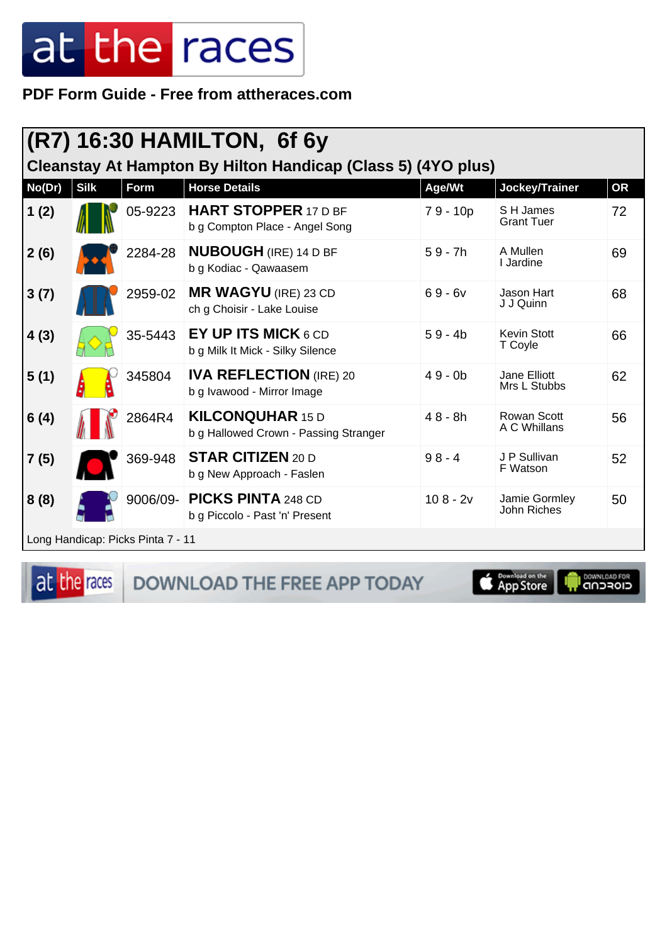PDF Form Guide - Free from attheraces.com

| $(R7)$ 16:30 HAMILTON, 6f 6y<br>Cleanstay At Hampton By Hilton Handicap (Class 5) (4YO plus) |                                   |         |                                                                  |            |                                     |           |  |  |
|----------------------------------------------------------------------------------------------|-----------------------------------|---------|------------------------------------------------------------------|------------|-------------------------------------|-----------|--|--|
| No(Dr)                                                                                       | <b>Silk</b>                       | Form    | <b>Horse Details</b>                                             | Age/Wt     | Jockey/Trainer                      | <b>OR</b> |  |  |
| 1(2)                                                                                         |                                   | 05-9223 | <b>HART STOPPER 17 D BF</b><br>b g Compton Place - Angel Song    | 79 - 10p   | S H James<br><b>Grant Tuer</b>      | 72        |  |  |
| 2(6)                                                                                         |                                   | 2284-28 | <b>NUBOUGH</b> (IRE) 14 D BF<br>b g Kodiac - Qawaasem            | $59 - 7h$  | A Mullen<br>I Jardine               | 69        |  |  |
| 3(7)                                                                                         |                                   | 2959-02 | <b>MR WAGYU (IRE) 23 CD</b><br>ch g Choisir - Lake Louise        | $69 - 6v$  | Jason Hart<br>J J Quinn             | 68        |  |  |
| 4(3)                                                                                         |                                   | 35-5443 | EY UP ITS MICK $6CD$<br>b g Milk It Mick - Silky Silence         | $59 - 4b$  | <b>Kevin Stott</b><br>T Coyle       | 66        |  |  |
| 5(1)                                                                                         |                                   | 345804  | <b>IVA REFLECTION</b> (IRE) 20<br>b g Ivawood - Mirror Image     | $49 - 0b$  | Jane Elliott<br>Mrs L Stubbs        | 62        |  |  |
| 6(4)                                                                                         |                                   | 2864R4  | <b>KILCONQUHAR 15 D</b><br>b g Hallowed Crown - Passing Stranger | $48 - 8h$  | <b>Rowan Scott</b><br>A C Whillans  | 56        |  |  |
| 7(5)                                                                                         |                                   | 369-948 | <b>STAR CITIZEN 20 D</b><br>b g New Approach - Faslen            | $98 - 4$   | J P Sullivan<br>F Watson            | 52        |  |  |
| 8(8)                                                                                         |                                   |         | 9006/09- PICKS PINTA 248 CD<br>b g Piccolo - Past 'n' Present    | $108 - 2v$ | Jamie Gormley<br><b>John Riches</b> | 50        |  |  |
|                                                                                              | Long Handicap: Picks Pinta 7 - 11 |         |                                                                  |            |                                     |           |  |  |

at the races

DOWNLOAD THE FREE APP TODAY

**E** Download on the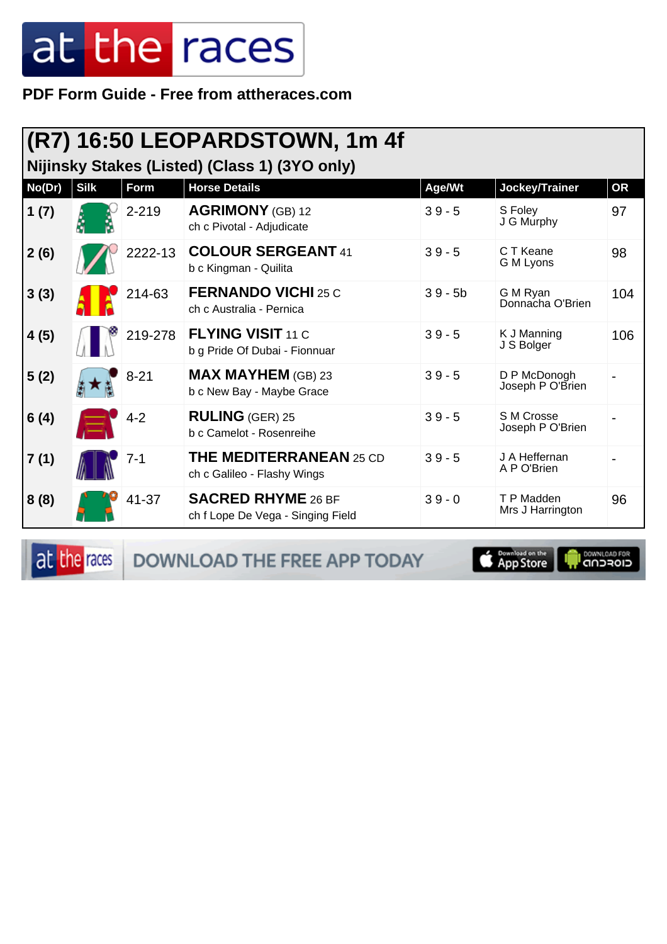PDF Form Guide - Free from attheraces.com

| <b>(R7) 16:50 LEOPARDSTOWN, 1m 4f</b><br>Nijinsky Stakes (Listed) (Class 1) (3YO only) |             |          |                                                                |           |                                  |           |  |  |  |
|----------------------------------------------------------------------------------------|-------------|----------|----------------------------------------------------------------|-----------|----------------------------------|-----------|--|--|--|
| No(Dr)                                                                                 | <b>Silk</b> | Form     | <b>Horse Details</b>                                           | Age/Wt    | Jockey/Trainer                   | <b>OR</b> |  |  |  |
| 1(7)                                                                                   |             | 2-219    | <b>AGRIMONY</b> (GB) 12<br>ch c Pivotal - Adjudicate           | $39 - 5$  | S Foley<br>J G Murphy            | 97        |  |  |  |
| 2(6)                                                                                   |             | 2222-13  | <b>COLOUR SERGEANT 41</b><br>b c Kingman - Quilita             | $39 - 5$  | C T Keane<br>G M Lyons           | 98        |  |  |  |
| 3(3)                                                                                   |             | 214-63   | <b>FERNANDO VICHI 25 C</b><br>ch c Australia - Pernica         | $39 - 5b$ | G M Ryan<br>Donnacha O'Brien     | 104       |  |  |  |
| 4(5)                                                                                   |             | 219-278  | <b>FLYING VISIT 11 C</b><br>b g Pride Of Dubai - Fionnuar      | $39 - 5$  | K J Manning<br>J S Bolger        | 106       |  |  |  |
| 5(2)                                                                                   |             | $8 - 21$ | <b>MAX MAYHEM (GB) 23</b><br>b c New Bay - Maybe Grace         | $39 - 5$  | D P McDonogh<br>Joseph P O'Brien |           |  |  |  |
| 6(4)                                                                                   |             | $4 - 2$  | <b>RULING (GER) 25</b><br>b c Camelot - Rosenreihe             | $39 - 5$  | S M Crosse<br>Joseph P O'Brien   |           |  |  |  |
| 7(1)                                                                                   |             | $7 - 1$  | <b>THE MEDITERRANEAN 25 CD</b><br>ch c Galileo - Flashy Wings  | $39 - 5$  | J A Heffernan<br>A P O'Brien     |           |  |  |  |
| 8(8)                                                                                   |             | 41-37    | <b>SACRED RHYME 26 BF</b><br>ch f Lope De Vega - Singing Field | $39 - 0$  | T P Madden<br>Mrs J Harrington   | 96        |  |  |  |

at the races

DOWNLOAD THE FREE APP TODAY

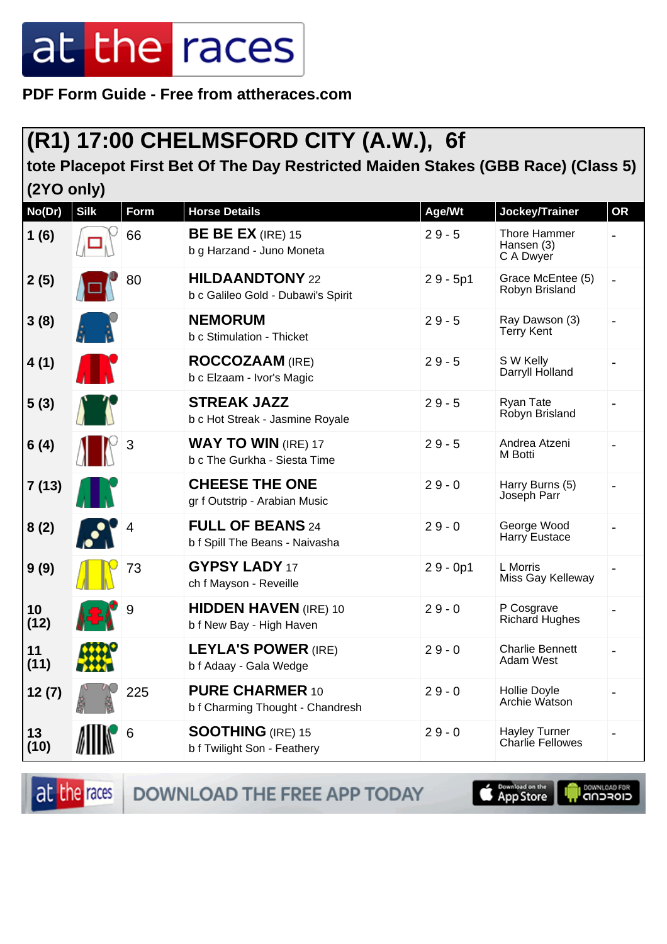**PDF Form Guide - Free from attheraces.com**

### **(R1) 17:00 CHELMSFORD CITY (A.W.), 6f**

#### **tote Placepot First Bet Of The Day Restricted Maiden Stakes (GBB Race) (Class 5)**

**(2YO only)**

| No(Dr)     | <b>Silk</b> | Form | <b>Horse Details</b>                                         | Age/Wt     | Jockey/Trainer                                 | <b>OR</b>                |
|------------|-------------|------|--------------------------------------------------------------|------------|------------------------------------------------|--------------------------|
| 1(6)       |             | 66   | BE BE EX (IRE) 15<br>b g Harzand - Juno Moneta               | $29 - 5$   | <b>Thore Hammer</b><br>Hansen (3)<br>C A Dwyer |                          |
| 2(5)       |             | 80   | <b>HILDAANDTONY 22</b><br>b c Galileo Gold - Dubawi's Spirit | $29 - 5p1$ | Grace McEntee (5)<br>Robyn Brisland            | $\overline{\phantom{a}}$ |
| 3(8)       |             |      | <b>NEMORUM</b><br>b c Stimulation - Thicket                  | $29 - 5$   | Ray Dawson (3)<br><b>Terry Kent</b>            |                          |
| 4(1)       |             |      | <b>ROCCOZAAM</b> (IRE)<br>b c Elzaam - Ivor's Magic          | $29 - 5$   | S W Kelly<br>Darryll Holland                   |                          |
| 5(3)       |             |      | <b>STREAK JAZZ</b><br>b c Hot Streak - Jasmine Royale        | $29 - 5$   | Ryan Tate<br>Robyn Brisland                    |                          |
| 6(4)       |             | 3    | <b>WAY TO WIN (IRE) 17</b><br>b c The Gurkha - Siesta Time   | $29 - 5$   | Andrea Atzeni<br>M Botti                       |                          |
| 7(13)      |             |      | <b>CHEESE THE ONE</b><br>gr f Outstrip - Arabian Music       | $29 - 0$   | Harry Burns (5)<br>Joseph Parr                 |                          |
| 8(2)       |             |      | <b>FULL OF BEANS 24</b><br>b f Spill The Beans - Naivasha    | $29 - 0$   | George Wood<br>Harry Eustace                   |                          |
| 9(9)       |             | 73   | <b>GYPSY LADY 17</b><br>ch f Mayson - Reveille               | $29 - 0p1$ | L Morris<br>Miss Gay Kelleway                  |                          |
| 10<br>(12) |             | 9    | <b>HIDDEN HAVEN (IRE) 10</b><br>b f New Bay - High Haven     | $29 - 0$   | P Cosgrave<br><b>Richard Hughes</b>            |                          |
| 11<br>(11) |             |      | <b>LEYLA'S POWER (IRE)</b><br>b f Adaay - Gala Wedge         | $29 - 0$   | <b>Charlie Bennett</b><br>Adam West            |                          |
| 12(7)      |             | 225  | <b>PURE CHARMER 10</b><br>b f Charming Thought - Chandresh   | $29 - 0$   | Hollie Doyle<br>Archie Watson                  |                          |
| 13<br>(10) |             | 6    | <b>SOOTHING (IRE) 15</b><br>b f Twilight Son - Feathery      | $29 - 0$   | <b>Hayley Turner</b><br>Charlie Fellowes       |                          |

at the races

DOWNLOAD THE FREE APP TODAY

**S** Download on the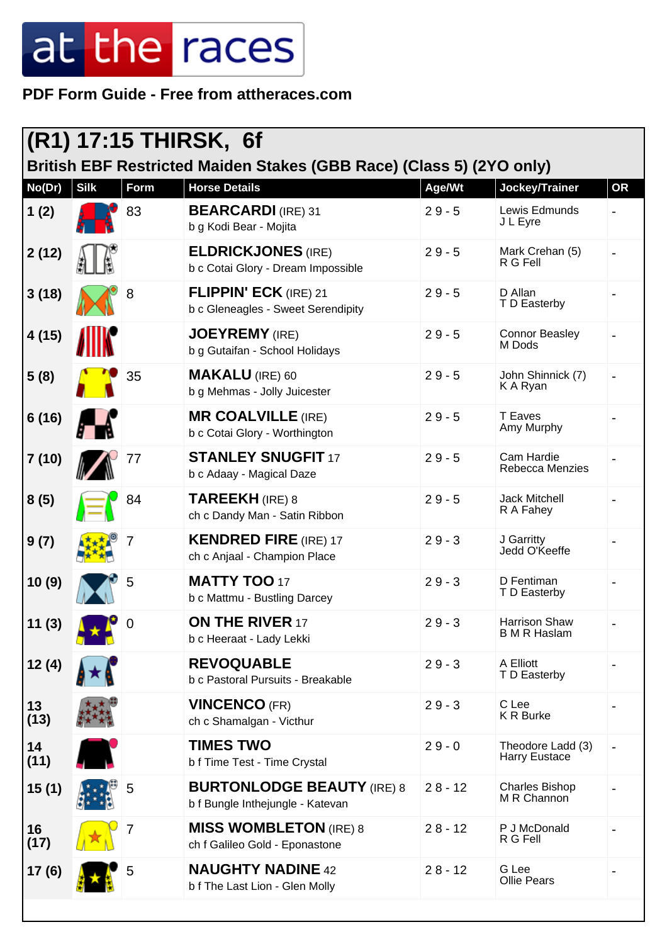**PDF Form Guide - Free from attheraces.com**

| (R1) 17:15 THIRSK, 6f<br>British EBF Restricted Maiden Stakes (GBB Race) (Class 5) (2YO only) |             |                |                                                                       |           |                                      |           |  |
|-----------------------------------------------------------------------------------------------|-------------|----------------|-----------------------------------------------------------------------|-----------|--------------------------------------|-----------|--|
| No(Dr)                                                                                        | <b>Silk</b> | Form           | <b>Horse Details</b>                                                  | Age/Wt    | Jockey/Trainer                       | <b>OR</b> |  |
| 1(2)                                                                                          |             | 83             | <b>BEARCARDI</b> (IRE) 31<br>b g Kodi Bear - Mojita                   | $29 - 5$  | Lewis Edmunds<br>J L Eyre            |           |  |
| 2(12)                                                                                         |             |                | <b>ELDRICKJONES (IRE)</b><br>b c Cotai Glory - Dream Impossible       | $29 - 5$  | Mark Crehan (5)<br>R G Fell          |           |  |
| 3(18)                                                                                         |             | 8              | <b>FLIPPIN' ECK (IRE) 21</b><br>b c Gleneagles - Sweet Serendipity    | $29 - 5$  | D Allan<br>T D Easterby              |           |  |
| 4(15)                                                                                         |             |                | <b>JOEYREMY</b> (IRE)<br>b g Gutaifan - School Holidays               | $29 - 5$  | <b>Connor Beasley</b><br>M Dods      |           |  |
| 5(8)                                                                                          |             | 35             | <b>MAKALU (IRE) 60</b><br>b g Mehmas - Jolly Juicester                | $29 - 5$  | John Shinnick (7)<br>K A Ryan        |           |  |
| 6(16)                                                                                         |             |                | <b>MR COALVILLE (IRE)</b><br>b c Cotai Glory - Worthington            | $29 - 5$  | T Eaves<br>Amy Murphy                |           |  |
| 7(10)                                                                                         |             | 77             | <b>STANLEY SNUGFIT 17</b><br>b c Adaay - Magical Daze                 | $29 - 5$  | Cam Hardie<br>Rebecca Menzies        |           |  |
| 8(5)                                                                                          |             | 84             | TAREEKH (IRE) 8<br>ch c Dandy Man - Satin Ribbon                      | $29 - 5$  | <b>Jack Mitchell</b><br>R A Fahey    |           |  |
| 9(7)                                                                                          |             |                | <b>KENDRED FIRE (IRE) 17</b><br>ch c Anjaal - Champion Place          | $29 - 3$  | J Garritty<br>Jedd O'Keeffe          |           |  |
| 10(9)                                                                                         |             | 5              | <b>MATTY TOO 17</b><br>b c Mattmu - Bustling Darcey                   | $29 - 3$  | D Fentiman<br>T D Easterby           |           |  |
| 11(3)                                                                                         |             | $\overline{0}$ | <b>ON THE RIVER 17</b><br>b c Heeraat - Lady Lekki                    | $29 - 3$  | Harrison Shaw<br><b>B M R Haslam</b> |           |  |
| 12(4)                                                                                         |             |                | <b>REVOQUABLE</b><br>b c Pastoral Pursuits - Breakable                | $29 - 3$  | A Elliott<br>T D Easterby            |           |  |
| 13<br>(13)                                                                                    |             |                | <b>VINCENCO (FR)</b><br>ch c Shamalgan - Victhur                      | $29 - 3$  | C Lee<br><b>K R Burke</b>            |           |  |
| 14<br>(11)                                                                                    |             |                | <b>TIMES TWO</b><br>b f Time Test - Time Crystal                      | $29 - 0$  | Theodore Ladd (3)<br>Harry Eustace   |           |  |
| 15(1)                                                                                         |             | 5              | <b>BURTONLODGE BEAUTY (IRE) 8</b><br>b f Bungle Inthejungle - Katevan | $28 - 12$ | <b>Charles Bishop</b><br>M R Channon |           |  |
| 16<br>(17)                                                                                    |             | 7              | <b>MISS WOMBLETON (IRE) 8</b><br>ch f Galileo Gold - Eponastone       | $28 - 12$ | P J McDonald<br>R G Fell             |           |  |
| 17 (6)                                                                                        |             | 5              | <b>NAUGHTY NADINE 42</b><br>b f The Last Lion - Glen Molly            | $28 - 12$ | G Lee<br><b>Ollie Pears</b>          |           |  |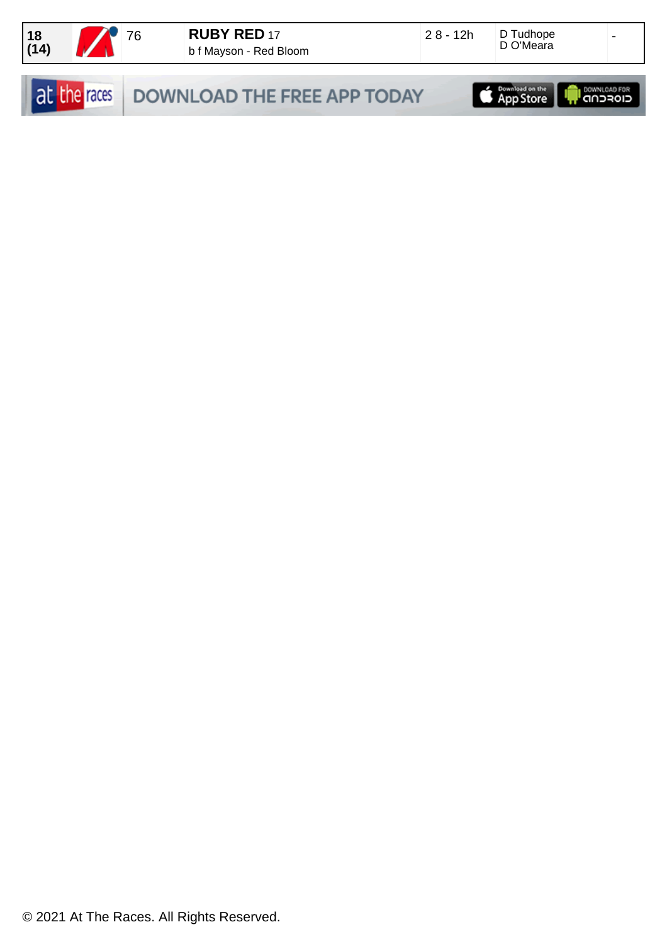

| <b>RUBY RED 17</b>     |
|------------------------|
| b f Mayson - Red Bloom |

-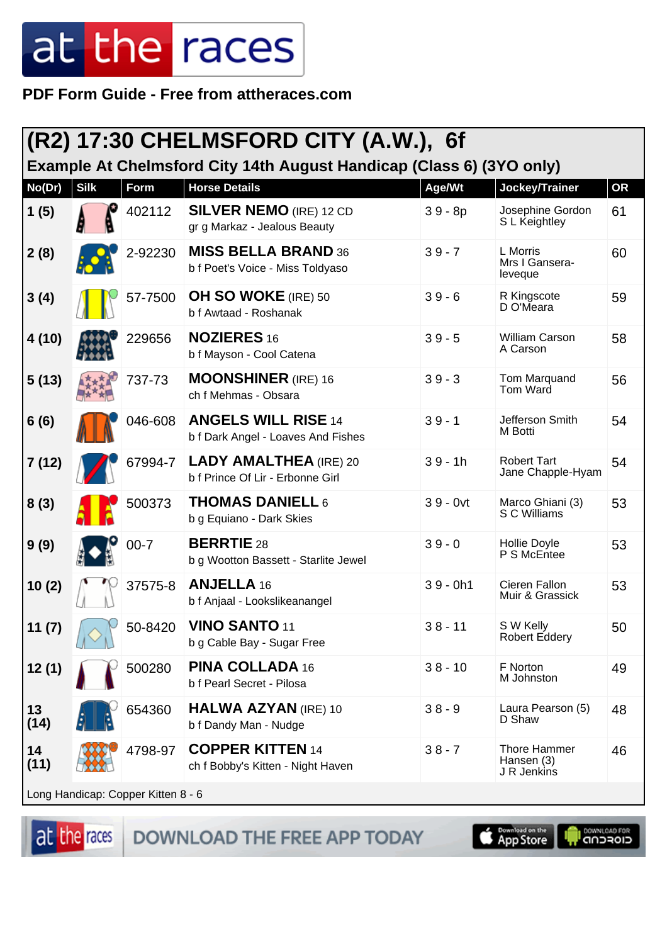#### **PDF Form Guide - Free from attheraces.com**

| $ (R2)$ 17:30 CHELMSFORD CITY (A.W.), 6f<br>Example At Chelmsford City 14th August Handicap (Class 6) (3YO only) |             |          |                                                                   |            |                                           |           |  |  |
|------------------------------------------------------------------------------------------------------------------|-------------|----------|-------------------------------------------------------------------|------------|-------------------------------------------|-----------|--|--|
| No(Dr)                                                                                                           | <b>Silk</b> | Form     | <b>Horse Details</b>                                              | Age/Wt     | Jockey/Trainer                            | <b>OR</b> |  |  |
| 1(5)                                                                                                             |             | 402112   | <b>SILVER NEMO (IRE) 12 CD</b><br>gr g Markaz - Jealous Beauty    | $39 - 8p$  | Josephine Gordon<br>S L Keightley         | 61        |  |  |
| 2(8)                                                                                                             |             | 2-92230  | <b>MISS BELLA BRAND 36</b><br>b f Poet's Voice - Miss Toldyaso    | $39 - 7$   | L Morris<br>Mrs I Gansera-<br>leveque     | 60        |  |  |
| 3(4)                                                                                                             |             | 57-7500  | <b>OH SO WOKE</b> (IRE) 50<br>b f Awtaad - Roshanak               | $39 - 6$   | R Kingscote<br>D O'Meara                  | 59        |  |  |
| 4(10)                                                                                                            |             | 229656   | <b>NOZIERES 16</b><br>b f Mayson - Cool Catena                    | $39 - 5$   | William Carson<br>A Carson                | 58        |  |  |
| 5(13)                                                                                                            |             | 737-73   | <b>MOONSHINER</b> (IRE) 16<br>ch f Mehmas - Obsara                | $39 - 3$   | Tom Marquand<br>Tom Ward                  | 56        |  |  |
| 6(6)                                                                                                             |             | 046-608  | <b>ANGELS WILL RISE 14</b><br>b f Dark Angel - Loaves And Fishes  | $39 - 1$   | Jefferson Smith<br>M Botti                | 54        |  |  |
| 7(12)                                                                                                            |             | 67994-7  | <b>LADY AMALTHEA (IRE) 20</b><br>b f Prince Of Lir - Erbonne Girl | $39 - 1h$  | <b>Robert Tart</b><br>Jane Chapple-Hyam   | 54        |  |  |
| 8(3)                                                                                                             |             | 500373   | <b>THOMAS DANIELL 6</b><br>b g Equiano - Dark Skies               | $39 - 0vt$ | Marco Ghiani (3)<br>S C Williams          | 53        |  |  |
| 9(9)                                                                                                             |             | $00 - 7$ | <b>BERRTIE 28</b><br>b g Wootton Bassett - Starlite Jewel         | $39 - 0$   | Hollie Doyle<br>P S McEntee               | 53        |  |  |
| 10(2)                                                                                                            |             | 37575-8  | ANJELLA 16<br>b f Anjaal - Lookslikeanangel                       | $39 - 0h1$ | Cieren Fallon<br>Muir & Grassick          | 53        |  |  |
| 11(7)                                                                                                            |             | 50-8420  | <b>VINO SANTO 11</b><br>b g Cable Bay - Sugar Free                | $38 - 11$  | S W Kelly<br>Robert Eddery                | 50        |  |  |
| 12(1)                                                                                                            |             | 500280   | PINA COLLADA 16<br>b f Pearl Secret - Pilosa                      | $38 - 10$  | <b>F</b> Norton<br>M Johnston             | 49        |  |  |
| 13<br>(14)                                                                                                       |             | 654360   | HALWA AZYAN (IRE) 10<br>b f Dandy Man - Nudge                     | $38 - 9$   | Laura Pearson (5)<br>D Shaw               | 48        |  |  |
| 14<br>(11)                                                                                                       |             | 4798-97  | <b>COPPER KITTEN 14</b><br>ch f Bobby's Kitten - Night Haven      | $38 - 7$   | Thore Hammer<br>Hansen (3)<br>J R Jenkins | 46        |  |  |

Long Handicap: Copper Kitten 8 - 6

at the races DOWNLOAD THE FREE APP TODAY

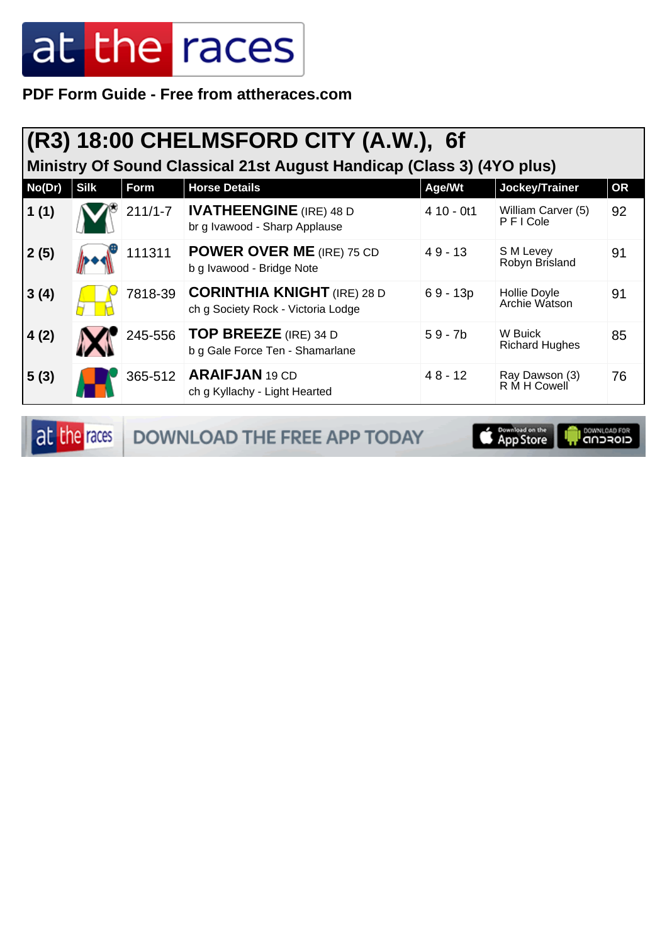**PDF Form Guide - Free from attheraces.com**

#### **(R3) 18:00 CHELMSFORD CITY (A.W.), 6f**

**Ministry Of Sound Classical 21st August Handicap (Class 3) (4YO plus)**

| No(Dr) | <b>Silk</b> | Form        | <b>Horse Details</b>                                                     | Age/Wt      | Jockey/Trainer                   | <b>OR</b> |
|--------|-------------|-------------|--------------------------------------------------------------------------|-------------|----------------------------------|-----------|
| 1(1)   |             | $211/1 - 7$ | <b>IVATHEENGINE</b> (IRE) 48 D<br>br g Ivawood - Sharp Applause          | $410 - 0t1$ | William Carver (5)<br>PFICole    | 92        |
| 2(5)   |             | 111311      | <b>POWER OVER ME (IRE) 75 CD</b><br>b g Ivawood - Bridge Note            | $49 - 13$   | S M Levey<br>Robyn Brisland      | 91        |
| 3(4)   |             | 7818-39     | <b>CORINTHIA KNIGHT</b> (IRE) 28 D<br>ch g Society Rock - Victoria Lodge | $69 - 13p$  | Hollie Doyle<br>Archie Watson    | 91        |
| 4(2)   |             | 245-556     | <b>TOP BREEZE</b> (IRE) 34 D<br>b g Gale Force Ten - Shamarlane          | $59 - 7b$   | W Buick<br><b>Richard Hughes</b> | 85        |
| 5(3)   |             |             | 365-512   ARAIFJAN 19 CD<br>ch g Kyllachy - Light Hearted                | $48 - 12$   | Ray Dawson (3)<br>R M H Cowell   | 76        |

at the races **DOWNLOAD THE FREE APP TODAY** 

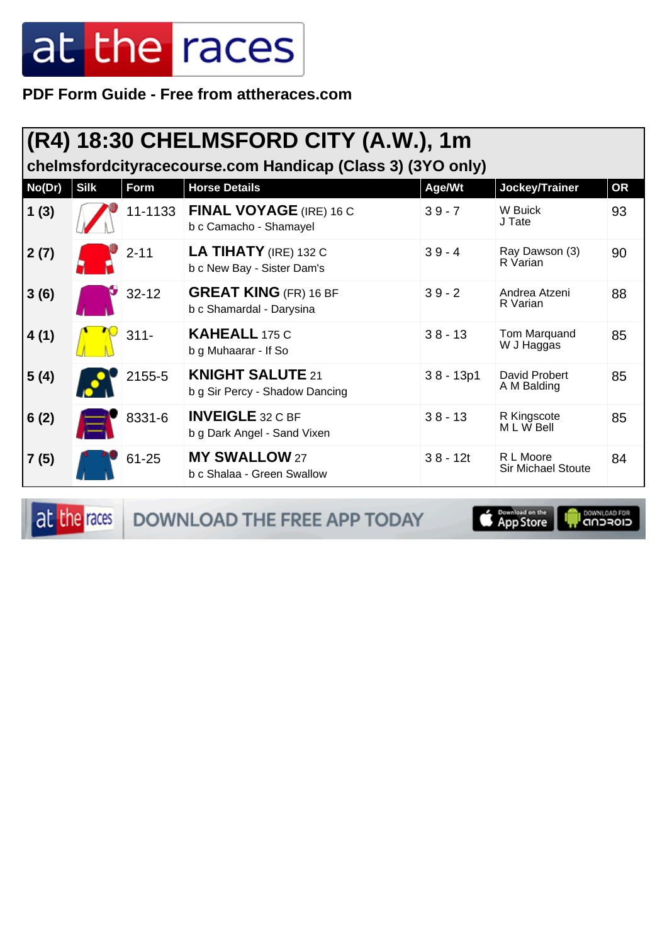PDF Form Guide - Free from attheraces.com

| (R4) 18:30 CHELMSFORD CITY (A.W.), 1m<br>chelmsfordcityracecourse.com Handicap (Class 3) (3YO only) |             |             |                                                            |             |                                        |           |  |
|-----------------------------------------------------------------------------------------------------|-------------|-------------|------------------------------------------------------------|-------------|----------------------------------------|-----------|--|
| No(Dr)                                                                                              | <b>Silk</b> | <b>Form</b> | <b>Horse Details</b>                                       | Age/Wt      | Jockey/Trainer                         | <b>OR</b> |  |
| 1(3)                                                                                                |             | 11-1133     | <b>FINAL VOYAGE</b> (IRE) 16 C<br>b c Camacho - Shamayel   | $39 - 7$    | W Buick<br>J Tate                      | 93        |  |
| 2(7)                                                                                                |             | $2 - 11$    | <b>LA TIHATY</b> (IRE) 132 C<br>b c New Bay - Sister Dam's | $39 - 4$    | Ray Dawson (3)<br>R Varian             | 90        |  |
| 3(6)                                                                                                |             | $32 - 12$   | <b>GREAT KING (FR) 16 BF</b><br>b c Shamardal - Darysina   | $39 - 2$    | Andrea Atzeni<br>R Varian              | 88        |  |
| 4(1)                                                                                                |             | $311 -$     | <b>KAHEALL 175 C</b><br>b g Muhaarar - If So               | $38 - 13$   | Tom Marquand<br>W J Haggas             | 85        |  |
| 5(4)                                                                                                |             | 2155-5      | <b>KNIGHT SALUTE 21</b><br>b g Sir Percy - Shadow Dancing  | $38 - 13p1$ | David Probert<br>A M Balding           | 85        |  |
| 6(2)                                                                                                |             | 8331-6      | <b>INVEIGLE</b> 32 C BF<br>b g Dark Angel - Sand Vixen     | $38 - 13$   | R Kingscote<br>M L W Bell              | 85        |  |
| 7(5)                                                                                                |             | $61 - 25$   | <b>MY SWALLOW 27</b><br>b c Shalaa - Green Swallow         | $38 - 12t$  | R L Moore<br><b>Sir Michael Stoute</b> | 84        |  |

at the races

DOWNLOAD THE FREE APP TODAY

**App Store**